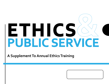# **ETHICS PUBLIC SERVICE**

**A Supplement To Annual Ethics Training**

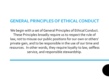## **GENERAL PRINCIPLES OF ETHICAL CONDUCT**

We begin with a set of General Principles of Ethical Conduct. These Principles broadly require us to respect the rule of law, not to misuse our public positions for our own or others' private gain, and to be responsible in the use of our time and resources. In other words, they require loyalty to law, selfless service, and responsible stewardship.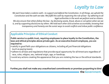# *Loyalty to Law*

*We each have taken a solemn oath—to support and defend the Constitution. In all things, we uphold the Constitution and the oath we take. We fulfill this oath by respecting the rule of law—by adhering to all legal authorities in the work we perform and as citizens.* 

*We also ensure that others follow the law—by disclosing waste, fraud, abuse or corruption when we see it, and by supporting disclosures by others. We hold each other and ourselves accountable, knowing that transparency and honesty are the surest ways to avoid conflicts and imbue public confidence.*

#### **Applicable Principles of Ethical Conduct**

**Public service is a public trust, requiring employees to place loyalty to the Constitution, the laws and ethical principles above private gain. As an executive branch employee, you are required to:**

- satisfy in good faith your obligations as citizens, including all just financial obligations (such as paying taxes).
- adhere to all laws and regulations that provide equal opportunity for all Americans regardless of race, color, religion, sex, national origin, age, or handicap.
- avoid any actions creating the appearance that you are violating the law or the ethical standards.

**Further,you shall not make any unauthorized commitments or promises purporting to bind the Government.**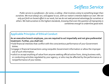## *Selfless Service*

*Public service is a profession—for some, a calling—that involves a duty to something larger than ourselves. We must always act, and appear to act, with our nation's interests before our own. We not only put forth an honest effort in our work, but we do not seek personal advantage for ourselves or others. We hold ourselves to the highest standards, knowing that even the question of impropriety is sometimes enough to undermine good work.*

#### **Applicable Principles of Ethical Conduct**

**As an executive branch employee, you are required to act impartially and not give preferential treatment. Further, you shall not:** 

- hold financial interests that conflict with the conscientious performance of your Government duties.
- engage in financial transactions using nonpublic Government information or allow the improper use of such information.
- solicit or accept anything of value from anyone seeking official action from, doing business with, or conducting activities regulated by your agency, or who may be affected by the performance or nonperformance of your duties.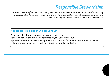## *Responsible Stewardship*

*Monies, property, information and other governmental resources are entrusted to us. They do not belong to us personally. We honor our commitment to the American public by using these resources wisely and only to accomplish the work of the United States Government.*

#### **Applicable Principles of Ethical Conduct**

#### **As an executive branch employee, you are required to:**

- put forth honest effort in the performance of your Government duties.
- protect and conserve Government property and not use it for other than authorized activities.
- disclose waste, fraud, abuse, and corruption to appropriate authorities.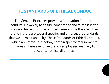### **THE STANDARDS OF ETHICAL CONDUCT**

The General Principles provide a foundation for ethical conduct. However, to ensure consistency and fairness in the way we deal with similar ethical issues across the executive branch, there are several specific and enforceable standards that we all must abide by. These Standards of Ethical Conduct, which are introduced below, contain specific requirements in areas where executive branch employees are likely to encounter ethical dilemmas.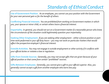# *Standards of Ethical Conduct*

**Use of Government Position.** *As an employee, you cannot use your position with the Government for your own personal gain or for the benefit of others.* 

**Conflicting Financial Interests.** *You are prohibited from working on Government matters in which you, your spouse or minor child, or certain others have a financial interest.*

**Impartiality.** *In general, you should not act on a Government matter if a reasonable person who knew the circumstances of the situation could legitimately question your impartiality.*

**Seeking Other Employment.** *If you are seeking other employment – either a future position or parttime work performed in your off-duty hours – you may not work on particular matters that would affect the prospective employer's financial interest.*

**Outside Activities.** *You may not engage in outside employment or other activity if it conflicts with your official duties or violates a law or regulation.*

**Gifts from Outside Sources.** *Generally, you may not accept gifts that are given because of your official position or that come from certain "prohibited" sources.*

**Gifts Between Employees.** *Generally, you cannot give a gift to your official superior. Also, you generally cannot accept a gift from another employee who earns less pay.*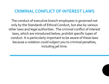## **CRIMINAL CONFLICT OF INTEREST LAWS**

The conduct of executive branch employees is governed not only by the Standards of Ethical Conduct, but also by various other laws and legal authorities. The criminal conflict of interest laws, which are introduced below, prohibit specific types of conduct. It is particularly important to be aware of these laws because a violation could subject you to criminal penalties, including jail time.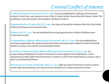# *Criminal Conflict of Interest*

**Conflicting Financial Interests (18 U.S.C 208).** *You are prohibited from working on Government matters in which you, your spouse or minor child, or certain others have a financial interest. (Note: This prohibition is also discussed in the Standards of Ethical Conduct.)*

**Supplementation of Salary (18 U.S.C 209).** *You may not be paid by someone other than the United States for doing your Government duties.*

**Bribery (18 U.S.C 201).** *You are prohibited from accepting gratuities or bribes to influence your Government actions.*

**Compensation in Matters Affecting the Government (18 U.S.C 203).** *You are prohibited from receiving compensation for representational activities involving certain matters in which the United States is a party or has a direct and substantial interest.*

**Activities in Claims and Other Matters Affecting the Government (18 U.S.C 205).** *You are generally prohibited from certain involvement in claims against the United States, or from representing another before the Government in matters in which the United States is a party or has a direct and substantial interest.*

**Restrictions on Former Employees (18 U.S.C 207).** *After you leave Government service (or leave certain high-level positions), you may encounter limitations on certain proposed activities.*